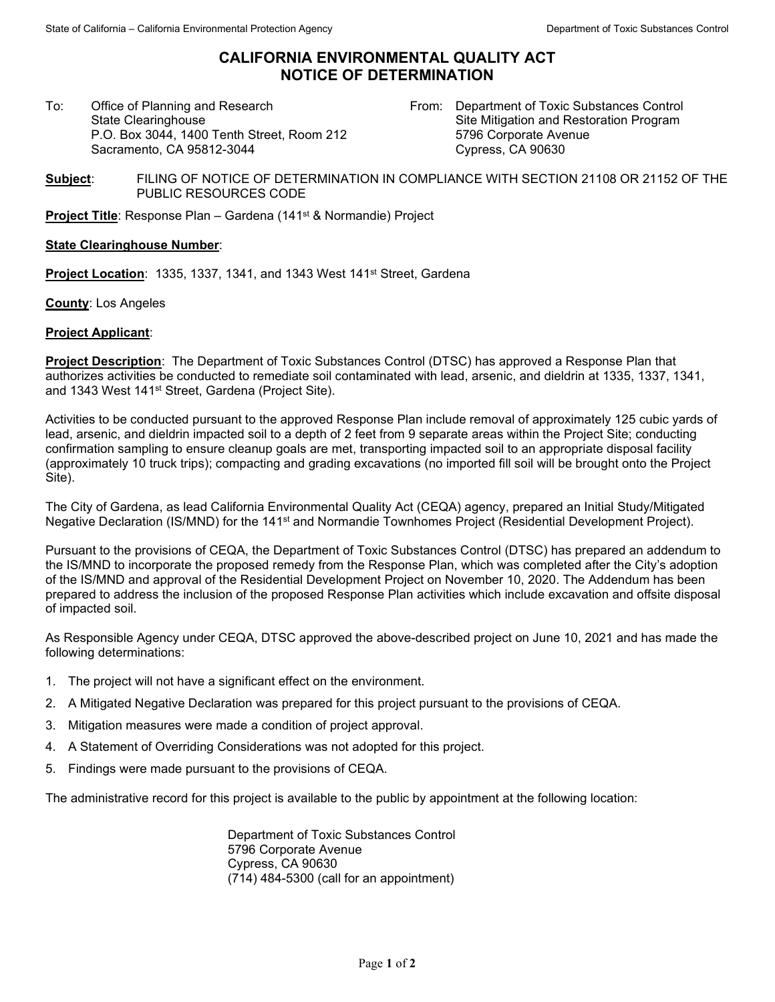## **CALIFORNIA ENVIRONMENTAL QUALITY ACT NOTICE OF DETERMINATION**

To: Office of Planning and Research State Clearinghouse P.O. Box 3044, 1400 Tenth Street, Room 212 Sacramento, CA 95812-3044

From: Department of Toxic Substances Control Site Mitigation and Restoration Program 5796 Corporate Avenue Cypress, CA 90630

**Subject**: FILING OF NOTICE OF DETERMINATION IN COMPLIANCE WITH SECTION 21108 OR 21152 OF THE PUBLIC RESOURCES CODE

**Project Title**: Response Plan – Gardena (141<sup>st</sup> & Normandie) Project

## **State Clearinghouse Number**:

**Project Location: 1335, 1337, 1341, and 1343 West 141<sup>st</sup> Street, Gardena** 

**County**: Los Angeles

## **Project Applicant**:

**Project Description**: The Department of Toxic Substances Control (DTSC) has approved a Response Plan that authorizes activities be conducted to remediate soil contaminated with lead, arsenic, and dieldrin at 1335, 1337, 1341, and 1343 West 141<sup>st</sup> Street, Gardena (Project Site).

Activities to be conducted pursuant to the approved Response Plan include removal of approximately 125 cubic yards of lead, arsenic, and dieldrin impacted soil to a depth of 2 feet from 9 separate areas within the Project Site; conducting confirmation sampling to ensure cleanup goals are met, transporting impacted soil to an appropriate disposal facility (approximately 10 truck trips); compacting and grading excavations (no imported fill soil will be brought onto the Project Site).

The City of Gardena, as lead California Environmental Quality Act (CEQA) agency, prepared an Initial Study/Mitigated Negative Declaration (IS/MND) for the 141<sup>st</sup> and Normandie Townhomes Project (Residential Development Project).

Pursuant to the provisions of CEQA, the Department of Toxic Substances Control (DTSC) has prepared an addendum to the IS/MND to incorporate the proposed remedy from the Response Plan, which was completed after the City's adoption of the IS/MND and approval of the Residential Development Project on November 10, 2020. The Addendum has been prepared to address the inclusion of the proposed Response Plan activities which include excavation and offsite disposal of impacted soil.

As Responsible Agency under CEQA, DTSC approved the above-described project on June 10, 2021 and has made the following determinations:

- 1. The project will not have a significant effect on the environment.
- 2. A Mitigated Negative Declaration was prepared for this project pursuant to the provisions of CEQA.
- 3. Mitigation measures were made a condition of project approval.
- 4. A Statement of Overriding Considerations was not adopted for this project.
- 5. Findings were made pursuant to the provisions of CEQA.

The administrative record for this project is available to the public by appointment at the following location:

Department of Toxic Substances Control 5796 Corporate Avenue Cypress, CA 90630 (714) 484-5300 (call for an appointment)